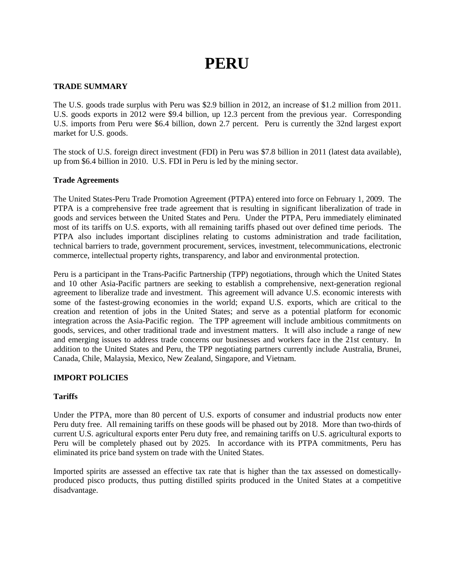# **PERU**

# **TRADE SUMMARY**

The U.S. goods trade surplus with Peru was \$2.9 billion in 2012, an increase of \$1.2 million from 2011. U.S. goods exports in 2012 were \$9.4 billion, up 12.3 percent from the previous year. Corresponding U.S. imports from Peru were \$6.4 billion, down 2.7 percent. Peru is currently the 32nd largest export market for U.S. goods.

The stock of U.S. foreign direct investment (FDI) in Peru was \$7.8 billion in 2011 (latest data available), up from \$6.4 billion in 2010. U.S. FDI in Peru is led by the mining sector.

## **Trade Agreements**

The United States-Peru Trade Promotion Agreement (PTPA) entered into force on February 1, 2009. The PTPA is a comprehensive free trade agreement that is resulting in significant liberalization of trade in goods and services between the United States and Peru. Under the PTPA, Peru immediately eliminated most of its tariffs on U.S. exports, with all remaining tariffs phased out over defined time periods. The PTPA also includes important disciplines relating to customs administration and trade facilitation, technical barriers to trade, government procurement, services, investment, telecommunications, electronic commerce, intellectual property rights, transparency, and labor and environmental protection.

Peru is a participant in the Trans-Pacific Partnership (TPP) negotiations, through which the United States and 10 other Asia-Pacific partners are seeking to establish a comprehensive, next-generation regional agreement to liberalize trade and investment. This agreement will advance U.S. economic interests with some of the fastest-growing economies in the world; expand U.S. exports, which are critical to the creation and retention of jobs in the United States; and serve as a potential platform for economic integration across the Asia-Pacific region. The TPP agreement will include ambitious commitments on goods, services, and other traditional trade and investment matters. It will also include a range of new and emerging issues to address trade concerns our businesses and workers face in the 21st century. In addition to the United States and Peru, the TPP negotiating partners currently include Australia, Brunei, Canada, Chile, Malaysia, Mexico, New Zealand, Singapore, and Vietnam.

# **IMPORT POLICIES**

## **Tariffs**

Under the PTPA, more than 80 percent of U.S. exports of consumer and industrial products now enter Peru duty free. All remaining tariffs on these goods will be phased out by 2018. More than two-thirds of current U.S. agricultural exports enter Peru duty free, and remaining tariffs on U.S. agricultural exports to Peru will be completely phased out by 2025. In accordance with its PTPA commitments, Peru has eliminated its price band system on trade with the United States.

Imported spirits are assessed an effective tax rate that is higher than the tax assessed on domesticallyproduced pisco products, thus putting distilled spirits produced in the United States at a competitive disadvantage.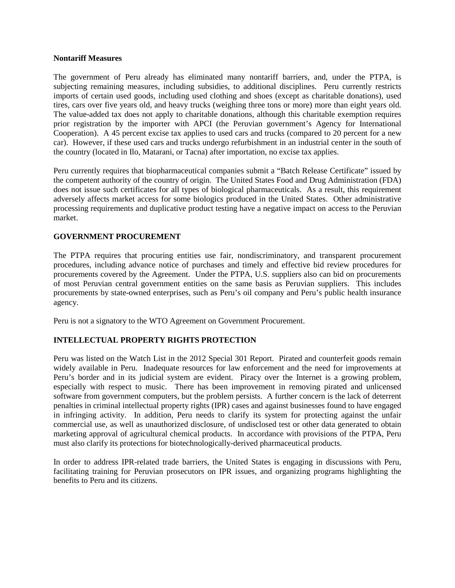#### **Nontariff Measures**

The government of Peru already has eliminated many nontariff barriers, and, under the PTPA, is subjecting remaining measures, including subsidies, to additional disciplines. Peru currently restricts imports of certain used goods, including used clothing and shoes (except as charitable donations), used tires, cars over five years old, and heavy trucks (weighing three tons or more) more than eight years old. The value-added tax does not apply to charitable donations, although this charitable exemption requires prior registration by the importer with APCI (the Peruvian government's Agency for International Cooperation). A 45 percent excise tax applies to used cars and trucks (compared to 20 percent for a new car). However, if these used cars and trucks undergo refurbishment in an industrial center in the south of the country (located in Ilo, Matarani, or Tacna) after importation, no excise tax applies.

Peru currently requires that biopharmaceutical companies submit a "Batch Release Certificate" issued by the competent authority of the country of origin. The United States Food and Drug Administration (FDA) does not issue such certificates for all types of biological pharmaceuticals. As a result, this requirement adversely affects market access for some biologics produced in the United States. Other administrative processing requirements and duplicative product testing have a negative impact on access to the Peruvian market.

## **GOVERNMENT PROCUREMENT**

The PTPA requires that procuring entities use fair, nondiscriminatory, and transparent procurement procedures, including advance notice of purchases and timely and effective bid review procedures for procurements covered by the Agreement. Under the PTPA, U.S. suppliers also can bid on procurements of most Peruvian central government entities on the same basis as Peruvian suppliers. This includes procurements by state-owned enterprises, such as Peru's oil company and Peru's public health insurance agency.

Peru is not a signatory to the WTO Agreement on Government Procurement.

# **INTELLECTUAL PROPERTY RIGHTS PROTECTION**

Peru was listed on the Watch List in the 2012 Special 301 Report. Pirated and counterfeit goods remain widely available in Peru. Inadequate resources for law enforcement and the need for improvements at Peru's border and in its judicial system are evident. Piracy over the Internet is a growing problem, especially with respect to music. There has been improvement in removing pirated and unlicensed software from government computers, but the problem persists. A further concern is the lack of deterrent penalties in criminal intellectual property rights (IPR) cases and against businesses found to have engaged in infringing activity. In addition, Peru needs to clarify its system for protecting against the unfair commercial use, as well as unauthorized disclosure, of undisclosed test or other data generated to obtain marketing approval of agricultural chemical products. In accordance with provisions of the PTPA, Peru must also clarify its protections for biotechnologically-derived pharmaceutical products.

In order to address IPR-related trade barriers, the United States is engaging in discussions with Peru, facilitating training for Peruvian prosecutors on IPR issues, and organizing programs highlighting the benefits to Peru and its citizens.